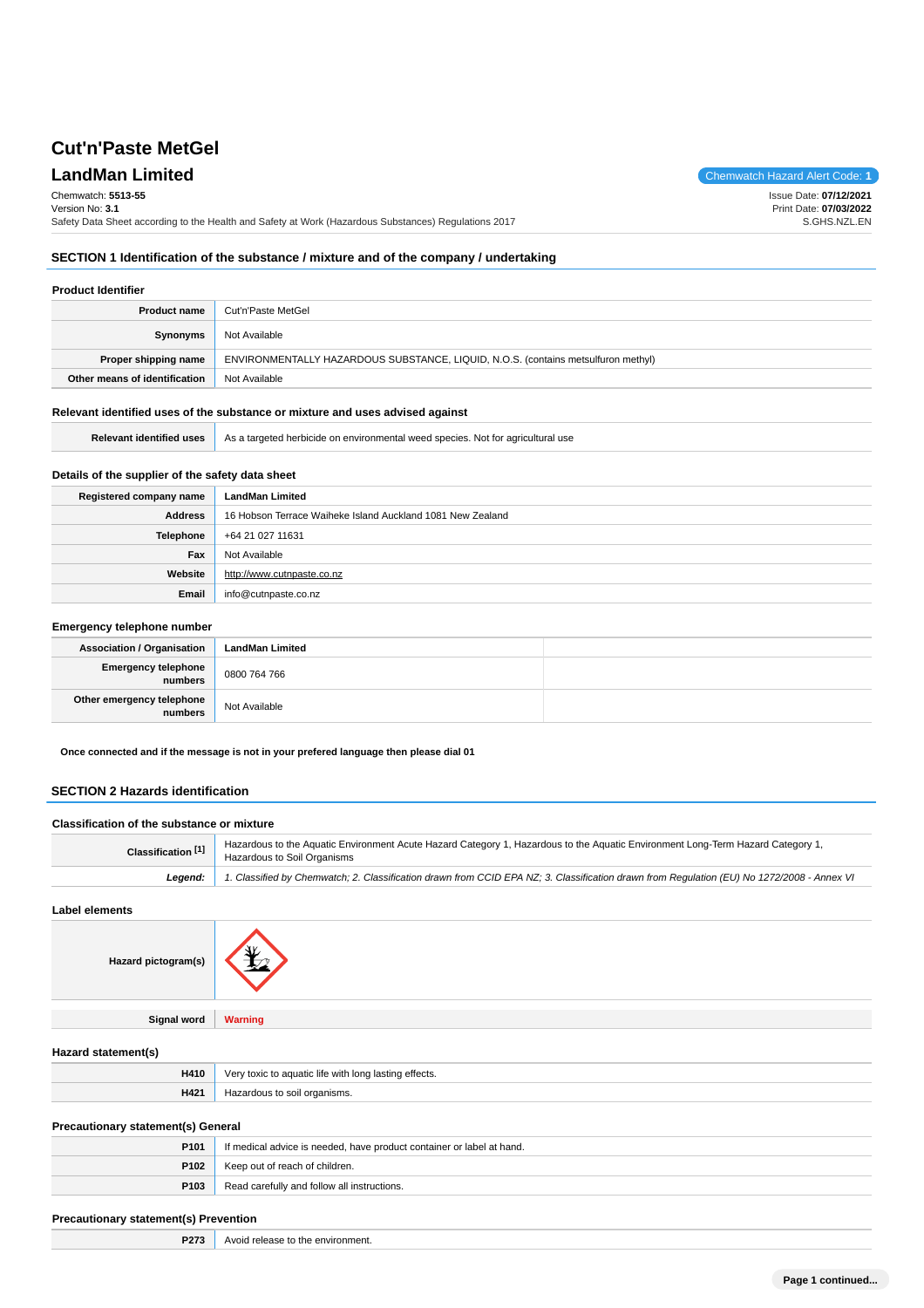## **LandMan Limited** Chemwatch Hazard Alert Code: 1

Chemwatch: **5513-55** Version No: **3.1**

Issue Date: **07/12/2021** Print Date: **07/03/2022** S.GHS.NZL.EN

Safety Data Sheet according to the Health and Safety at Work (Hazardous Substances) Regulations 2017

### **SECTION 1 Identification of the substance / mixture and of the company / undertaking**

### **Product Identifier**

| <b>Product name</b>           | Cut'n'Paste MetGel                                                                |
|-------------------------------|-----------------------------------------------------------------------------------|
| Synonyms                      | Not Available                                                                     |
| Proper shipping name          | ENVIRONMENTALLY HAZARDOUS SUBSTANCE, LIQUID, N.O.S. (contains metsulfuron methyl) |
| Other means of identification | Not Available                                                                     |

#### **Relevant identified uses of the substance or mixture and uses advised against**

|  | Relevant identified uses As a targeted herbicide on environmental weed species. Not for agricultural use |
|--|----------------------------------------------------------------------------------------------------------|
|--|----------------------------------------------------------------------------------------------------------|

### **Details of the supplier of the safety data sheet**

| Registered company name | <b>LandMan Limited</b>                                     |
|-------------------------|------------------------------------------------------------|
| <b>Address</b>          | 16 Hobson Terrace Waiheke Island Auckland 1081 New Zealand |
| Telephone               | +64 21 027 11631                                           |
| Fax                     | Not Available                                              |
| Website                 | http://www.cutnpaste.co.nz                                 |
| Email                   | info@cutnpaste.co.nz                                       |

#### **Emergency telephone number**

| <b>Association / Organisation</b>      | <b>LandMan Limited</b> |  |
|----------------------------------------|------------------------|--|
| Emergency telephone<br>  numbers       | 0800 764 766           |  |
| Other emergency telephone<br>  numbers | Not Available          |  |

**Once connected and if the message is not in your prefered language then please dial 01**

### **SECTION 2 Hazards identification**

### **Classification of the substance or mixture Classification <sup>[1]</sup>** Hazardous to the Aquatic Environment Acute Hazard Category 1, Hazardous to the Aquatic Environment Long-Term Hazard Category 1, Hazardous to Soil Organisms **Legend:** 1. Classified by Chemwatch; 2. Classification drawn from CCID EPA NZ; 3. Classification drawn from Regulation (EU) No 1272/2008 - Annex VI

**Label elements**



**Signal word Warning**

### **Hazard statement(s)**

| H410 | toxic to aquatic life with long lasting effects.<br>$\sqrt{a}$ r |
|------|------------------------------------------------------------------|
| H421 | l organisms.                                                     |

#### **Precautionary statement(s) General**

| P <sub>101</sub> | If medical advice is needed, have product container or label at hand. |
|------------------|-----------------------------------------------------------------------|
|                  | <b>P102</b> Keep out of reach of children.                            |
| P103             | Read carefully and follow all instructions.                           |

#### **Precautionary statement(s) Prevention**

|  | <b>P273</b> Avoid release to the environment. |
|--|-----------------------------------------------|
|--|-----------------------------------------------|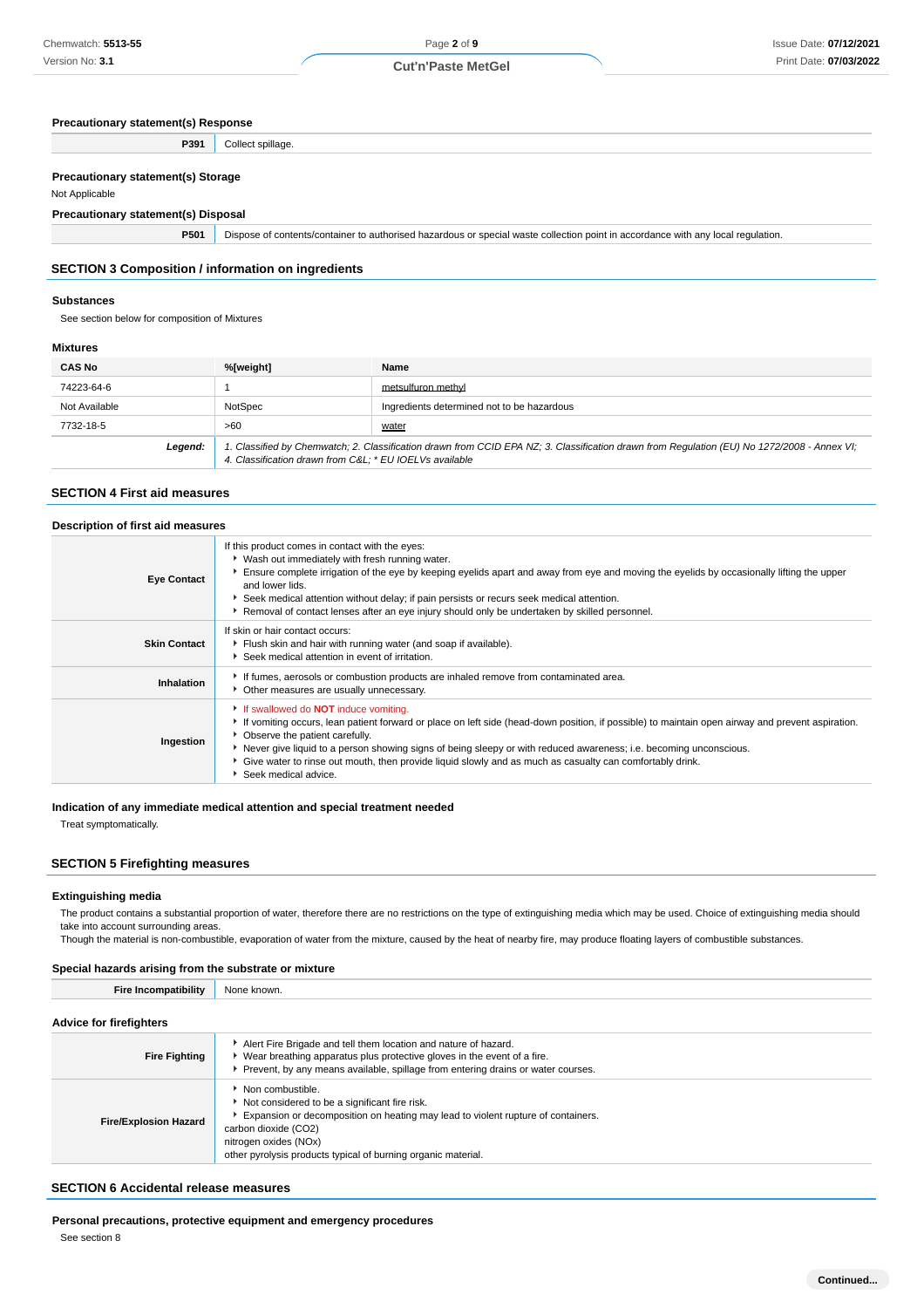### **Precautionary statement(s) Response**

| P391                                                               | Collect spillage.                                                                                                                |
|--------------------------------------------------------------------|----------------------------------------------------------------------------------------------------------------------------------|
|                                                                    |                                                                                                                                  |
| <b>Precautionary statement(s) Storage</b>                          |                                                                                                                                  |
| Not Applicable                                                     |                                                                                                                                  |
| <b>Precautionary statement(s) Disposal</b>                         |                                                                                                                                  |
| P501                                                               | Dispose of contents/container to authorised hazardous or special waste collection point in accordance with any local regulation. |
| <b>SECTION 3 Composition / information on ingredients</b>          |                                                                                                                                  |
| <b>Substances</b><br>See section below for composition of Mixtures |                                                                                                                                  |

### **Mixtures**

| <b>CAS No</b> | %[weight]                                                                                                                                                                                             | Name                                       |
|---------------|-------------------------------------------------------------------------------------------------------------------------------------------------------------------------------------------------------|--------------------------------------------|
| 74223-64-6    |                                                                                                                                                                                                       | metsulfuron methyl                         |
| Not Available | NotSpec                                                                                                                                                                                               | Ingredients determined not to be hazardous |
| 7732-18-5     | >60                                                                                                                                                                                                   | water                                      |
| Legend:       | 1. Classified by Chemwatch; 2. Classification drawn from CCID EPA NZ; 3. Classification drawn from Regulation (EU) No 1272/2008 - Annex VI;<br>4. Classification drawn from C&L * EU IOELVs available |                                            |

### **SECTION 4 First aid measures**

| Description of first aid measures |                                                                                                                                                                                                                                                                                                                                                                                                                                                                                                  |  |
|-----------------------------------|--------------------------------------------------------------------------------------------------------------------------------------------------------------------------------------------------------------------------------------------------------------------------------------------------------------------------------------------------------------------------------------------------------------------------------------------------------------------------------------------------|--|
| <b>Eye Contact</b>                | If this product comes in contact with the eyes:<br>• Wash out immediately with fresh running water.<br>Ensure complete irrigation of the eye by keeping eyelids apart and away from eye and moving the eyelids by occasionally lifting the upper<br>and lower lids.<br>Seek medical attention without delay; if pain persists or recurs seek medical attention.<br>Removal of contact lenses after an eye injury should only be undertaken by skilled personnel.                                 |  |
| <b>Skin Contact</b>               | If skin or hair contact occurs:<br>Fiush skin and hair with running water (and soap if available).<br>Seek medical attention in event of irritation.                                                                                                                                                                                                                                                                                                                                             |  |
| Inhalation                        | If fumes, aerosols or combustion products are inhaled remove from contaminated area.<br>Other measures are usually unnecessary.                                                                                                                                                                                                                                                                                                                                                                  |  |
| Ingestion                         | If swallowed do <b>NOT</b> induce vomiting.<br>► If vomiting occurs, lean patient forward or place on left side (head-down position, if possible) to maintain open airway and prevent aspiration.<br>• Observe the patient carefully.<br>▶ Never give liquid to a person showing signs of being sleepy or with reduced awareness; i.e. becoming unconscious.<br>Give water to rinse out mouth, then provide liquid slowly and as much as casualty can comfortably drink.<br>Seek medical advice. |  |

### **Indication of any immediate medical attention and special treatment needed**

Treat symptomatically.

### **SECTION 5 Firefighting measures**

### **Extinguishing media**

The product contains a substantial proportion of water, therefore there are no restrictions on the type of extinguishing media which may be used. Choice of extinguishing media should take into account surrounding areas

Though the material is non-combustible, evaporation of water from the mixture, caused by the heat of nearby fire, may produce floating layers of combustible substances.

### **Special hazards arising from the substrate or mixture**

| <b>Fire Incompatibility</b>    | None known.                                                                                                                                                                                                                                                             |  |
|--------------------------------|-------------------------------------------------------------------------------------------------------------------------------------------------------------------------------------------------------------------------------------------------------------------------|--|
| <b>Advice for firefighters</b> |                                                                                                                                                                                                                                                                         |  |
| <b>Fire Fighting</b>           | Alert Fire Brigade and tell them location and nature of hazard.<br>Wear breathing apparatus plus protective gloves in the event of a fire.<br>Prevent, by any means available, spillage from entering drains or water courses.                                          |  |
| <b>Fire/Explosion Hazard</b>   | Non combustible.<br>Not considered to be a significant fire risk.<br>Expansion or decomposition on heating may lead to violent rupture of containers.<br>carbon dioxide (CO2)<br>nitrogen oxides (NOx)<br>other pyrolysis products typical of burning organic material. |  |

### **SECTION 6 Accidental release measures**

**Personal precautions, protective equipment and emergency procedures**

See section 8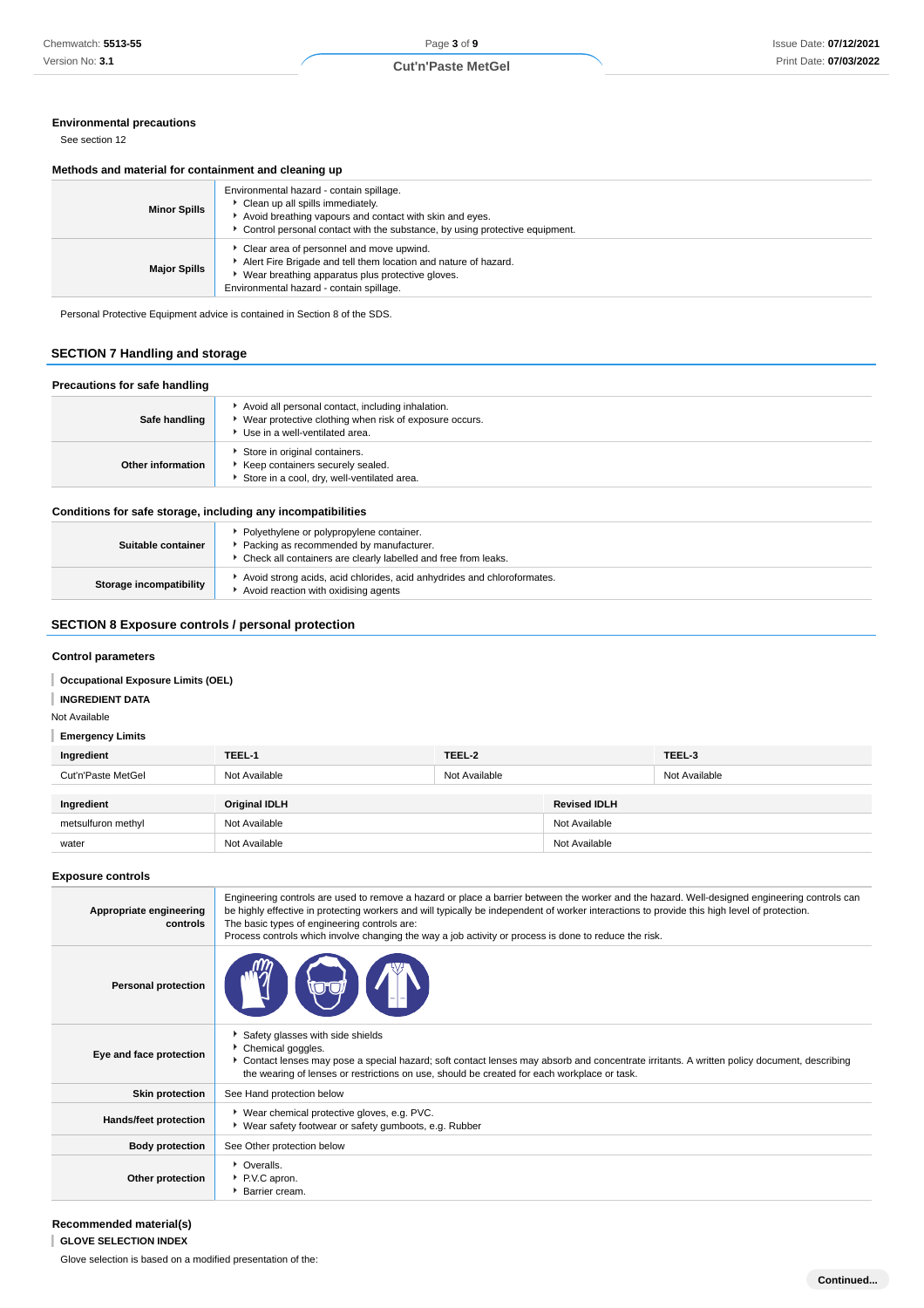### **Environmental precautions**

See section 12

#### **Methods and material for containment and cleaning up**

| <b>Minor Spills</b> | Environmental hazard - contain spillage.<br>Clean up all spills immediately.<br>Avoid breathing vapours and contact with skin and eyes.<br>Control personal contact with the substance, by using protective equipment. |
|---------------------|------------------------------------------------------------------------------------------------------------------------------------------------------------------------------------------------------------------------|
| <b>Major Spills</b> | Clear area of personnel and move upwind.<br>Alert Fire Brigade and tell them location and nature of hazard.<br>Wear breathing apparatus plus protective gloves.<br>Environmental hazard - contain spillage.            |

Personal Protective Equipment advice is contained in Section 8 of the SDS.

### **SECTION 7 Handling and storage**

### **Precautions for safe handling**

| <b>FIGURIOUS TO SAIG HARDING</b> |                                                                                                                                                   |
|----------------------------------|---------------------------------------------------------------------------------------------------------------------------------------------------|
| Safe handling                    | Avoid all personal contact, including inhalation.<br>▶ Wear protective clothing when risk of exposure occurs.<br>▶ Use in a well-ventilated area. |
| Other information                | Store in original containers.<br>Keep containers securely sealed.<br>Store in a cool, dry, well-ventilated area.                                  |

### **Conditions for safe storage, including any incompatibilities**

| Suitable container      | Polyethylene or polypropylene container.<br>▶ Packing as recommended by manufacturer.<br>• Check all containers are clearly labelled and free from leaks. |
|-------------------------|-----------------------------------------------------------------------------------------------------------------------------------------------------------|
| Storage incompatibility | ► Avoid strong acids, acid chlorides, acid anhydrides and chloroformates.<br>Avoid reaction with oxidising agents                                         |

### **SECTION 8 Exposure controls / personal protection**

### **Control parameters**

#### I **Occupational Exposure Limits (OEL)**

**INGREDIENT DATA** ı

### Not Available

### **Emergency Limits**

| Ingredient                       | TEEL-1                                | TEEL-2        |                     | TEEL-3        |
|----------------------------------|---------------------------------------|---------------|---------------------|---------------|
| Cut'n'Paste MetGel               | Not Available                         | Not Available |                     | Not Available |
|                                  |                                       |               |                     |               |
|                                  |                                       |               | <b>Revised IDLH</b> |               |
| Ingredient<br>metsulfuron methyl | <b>Original IDLH</b><br>Not Available |               | Not Available       |               |

### **Exposure controls**

| Appropriate engineering<br>controls | Engineering controls are used to remove a hazard or place a barrier between the worker and the hazard. Well-designed engineering controls can<br>be highly effective in protecting workers and will typically be independent of worker interactions to provide this high level of protection.<br>The basic types of engineering controls are:<br>Process controls which involve changing the way a job activity or process is done to reduce the risk. |
|-------------------------------------|--------------------------------------------------------------------------------------------------------------------------------------------------------------------------------------------------------------------------------------------------------------------------------------------------------------------------------------------------------------------------------------------------------------------------------------------------------|
| <b>Personal protection</b>          |                                                                                                                                                                                                                                                                                                                                                                                                                                                        |
| Eye and face protection             | Safety glasses with side shields<br>Chemical goggles.<br>Contact lenses may pose a special hazard; soft contact lenses may absorb and concentrate irritants. A written policy document, describing<br>the wearing of lenses or restrictions on use, should be created for each workplace or task.                                                                                                                                                      |
| <b>Skin protection</b>              | See Hand protection below                                                                                                                                                                                                                                                                                                                                                                                                                              |
| Hands/feet protection               | ▶ Wear chemical protective gloves, e.g. PVC.<br>▶ Wear safety footwear or safety gumboots, e.g. Rubber                                                                                                                                                                                                                                                                                                                                                 |
| <b>Body protection</b>              | See Other protection below                                                                                                                                                                                                                                                                                                                                                                                                                             |
| Other protection                    | • Overalls.<br>P.V.C apron.<br><b>Barrier cream.</b>                                                                                                                                                                                                                                                                                                                                                                                                   |

#### **Recommended material(s)**

**GLOVE SELECTION INDEX**

Glove selection is based on a modified presentation of the: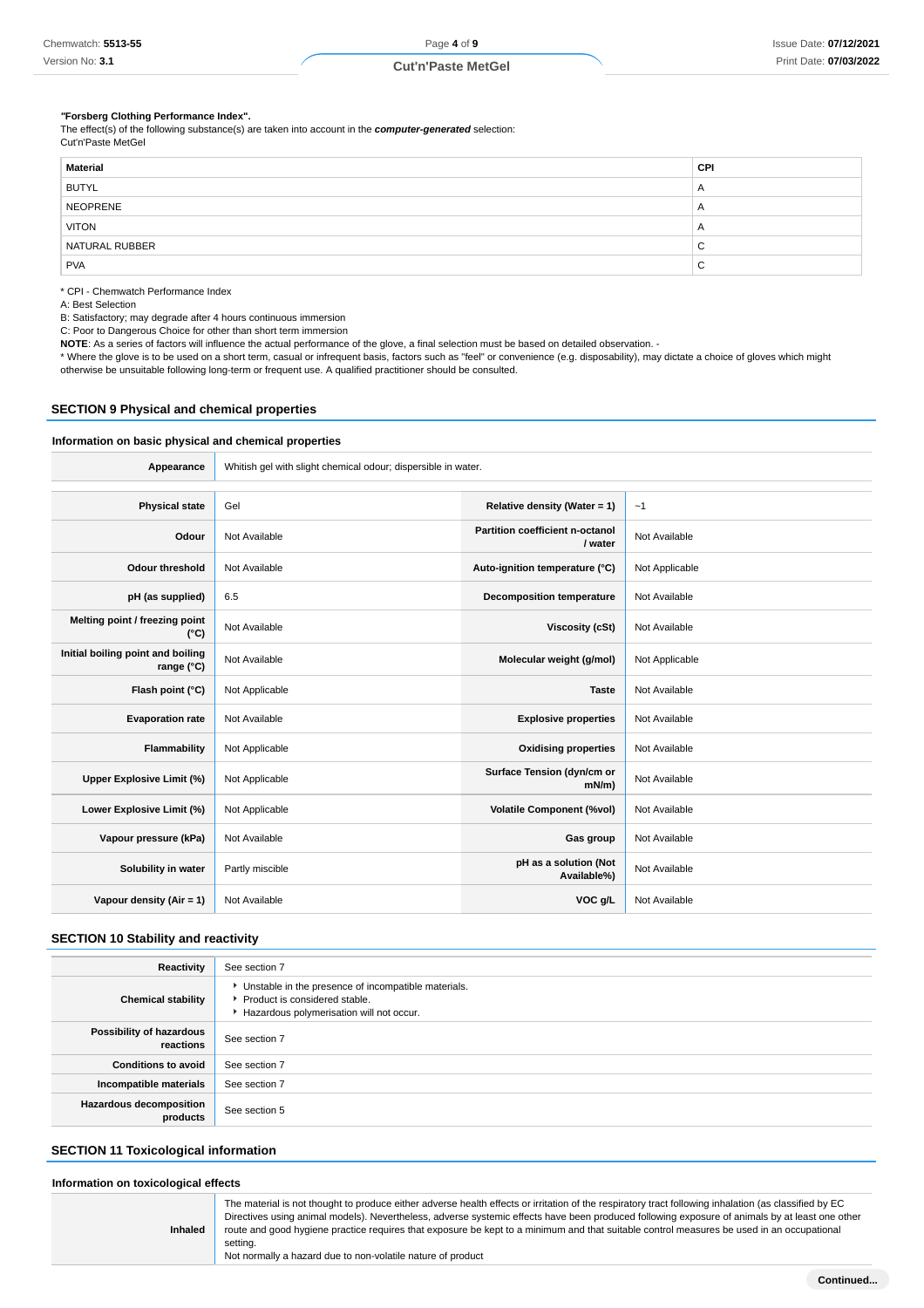#### **"Forsberg Clothing Performance Index".**

The effect(s) of the following substance(s) are taken into account in the **computer-generated** selection: Cut'n'Paste MetGel

| CPI            |
|----------------|
| $\overline{A}$ |
| $\mathsf{A}$   |
| $\overline{A}$ |
| C              |
| C              |
|                |

\* CPI - Chemwatch Performance Index

A: Best Selection

B: Satisfactory; may degrade after 4 hours continuous immersion

C: Poor to Dangerous Choice for other than short term immersion

**NOTE**: As a series of factors will influence the actual performance of the glove, a final selection must be based on detailed observation. -

\* Where the glove is to be used on a short term, casual or infrequent basis, factors such as "feel" or convenience (e.g. disposability), may dictate a choice of gloves which might otherwise be unsuitable following long-term or frequent use. A qualified practitioner should be consulted.

#### **SECTION 9 Physical and chemical properties**

### **Information on basic physical and chemical properties**

| Appearance                                               | Whitish gel with slight chemical odour; dispersible in water. |                                            |                |  |  |
|----------------------------------------------------------|---------------------------------------------------------------|--------------------------------------------|----------------|--|--|
| <b>Physical state</b>                                    | Gel                                                           |                                            |                |  |  |
|                                                          |                                                               | Relative density (Water = $1$ )            | ~1             |  |  |
| Odour                                                    | Not Available                                                 | Partition coefficient n-octanol<br>/ water | Not Available  |  |  |
| <b>Odour threshold</b>                                   | Not Available                                                 | Auto-ignition temperature (°C)             | Not Applicable |  |  |
| pH (as supplied)                                         | 6.5                                                           | <b>Decomposition temperature</b>           | Not Available  |  |  |
| Melting point / freezing point<br>$(^{\circ}C)$          | Not Available                                                 | Viscosity (cSt)                            | Not Available  |  |  |
| Initial boiling point and boiling<br>range $(^{\circ}C)$ | Not Available                                                 | Molecular weight (g/mol)                   | Not Applicable |  |  |
| Flash point (°C)                                         | Not Applicable                                                | <b>Taste</b>                               | Not Available  |  |  |
| <b>Evaporation rate</b>                                  | Not Available                                                 | <b>Explosive properties</b>                | Not Available  |  |  |
| <b>Flammability</b>                                      | Not Applicable                                                | <b>Oxidising properties</b>                | Not Available  |  |  |
| Upper Explosive Limit (%)                                | Not Applicable                                                | Surface Tension (dyn/cm or<br>$mN/m$ )     | Not Available  |  |  |
| Lower Explosive Limit (%)                                | Not Applicable                                                | <b>Volatile Component (%vol)</b>           | Not Available  |  |  |
| Vapour pressure (kPa)                                    | Not Available                                                 | Gas group                                  | Not Available  |  |  |
| Solubility in water                                      | Partly miscible                                               | pH as a solution (Not<br>Available%)       | Not Available  |  |  |
| Vapour density (Air = 1)                                 | Not Available                                                 | VOC g/L                                    | Not Available  |  |  |

### **SECTION 10 Stability and reactivity**

| Reactivity                                 | See section 7                                                                                                                        |
|--------------------------------------------|--------------------------------------------------------------------------------------------------------------------------------------|
| <b>Chemical stability</b>                  | • Unstable in the presence of incompatible materials.<br>▶ Product is considered stable.<br>Hazardous polymerisation will not occur. |
| Possibility of hazardous<br>reactions      | See section 7                                                                                                                        |
| <b>Conditions to avoid</b>                 | See section 7                                                                                                                        |
| Incompatible materials                     | See section 7                                                                                                                        |
| <b>Hazardous decomposition</b><br>products | See section 5                                                                                                                        |

### **SECTION 11 Toxicological information**

### **Information on toxicological effects**

| The material is not thought to produce either adverse health effects or irritation of the respiratory tract following inhalation (as classified by EC<br>Directives using animal models). Nevertheless, adverse systemic effects have been produced following exposure of animals by at least one other<br>route and good hygiene practice requires that exposure be kept to a minimum and that suitable control measures be used in an occupational<br><b>Inhaled</b><br>setting.<br>Not normally a hazard due to non-volatile nature of product |
|---------------------------------------------------------------------------------------------------------------------------------------------------------------------------------------------------------------------------------------------------------------------------------------------------------------------------------------------------------------------------------------------------------------------------------------------------------------------------------------------------------------------------------------------------|
|---------------------------------------------------------------------------------------------------------------------------------------------------------------------------------------------------------------------------------------------------------------------------------------------------------------------------------------------------------------------------------------------------------------------------------------------------------------------------------------------------------------------------------------------------|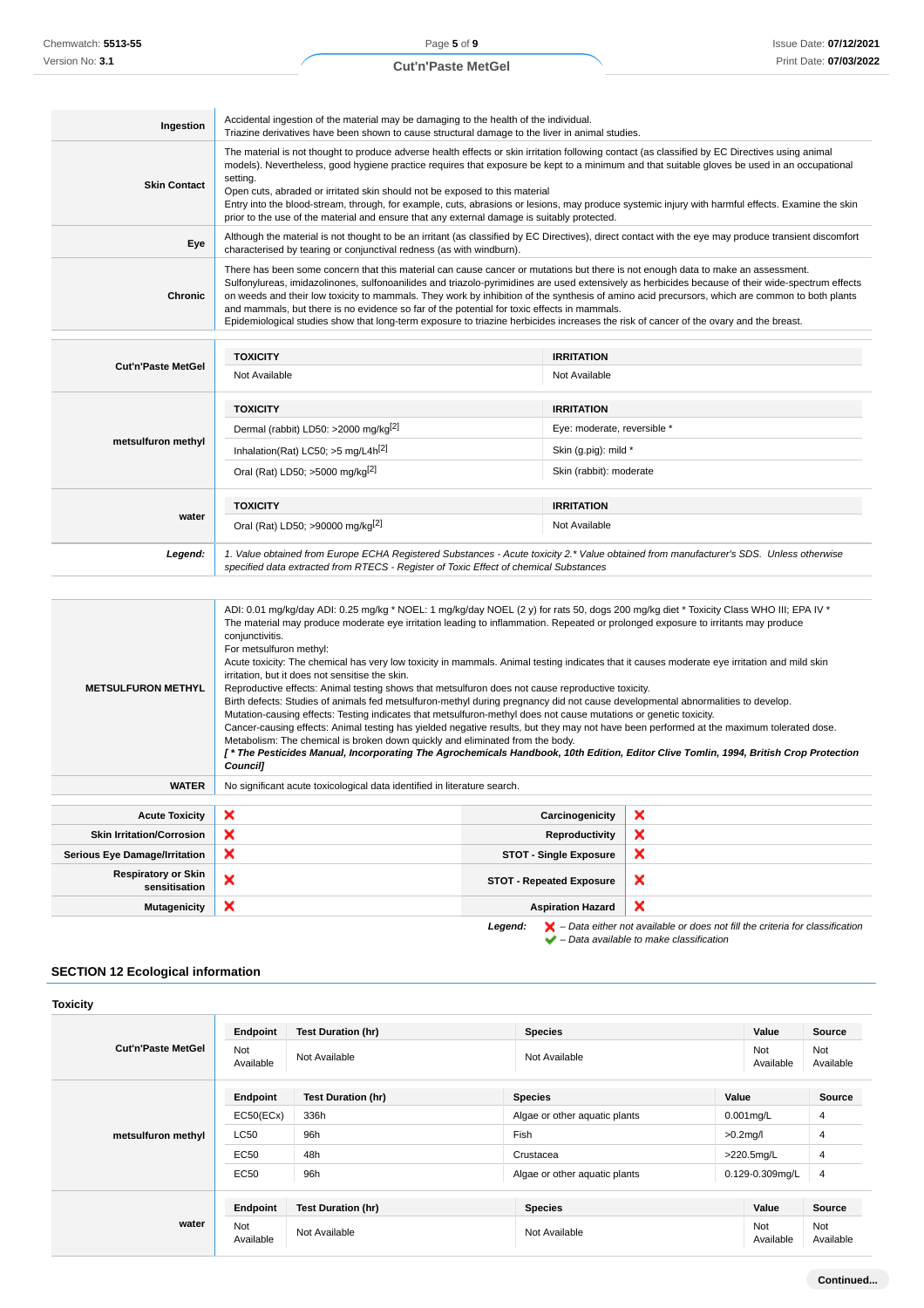| Ingestion           | Accidental ingestion of the material may be damaging to the health of the individual.<br>Triazine derivatives have been shown to cause structural damage to the liver in animal studies.                                                                                                                                                                                                                                                                                                                                                                                                                                                                                        |
|---------------------|---------------------------------------------------------------------------------------------------------------------------------------------------------------------------------------------------------------------------------------------------------------------------------------------------------------------------------------------------------------------------------------------------------------------------------------------------------------------------------------------------------------------------------------------------------------------------------------------------------------------------------------------------------------------------------|
| <b>Skin Contact</b> | The material is not thought to produce adverse health effects or skin irritation following contact (as classified by EC Directives using animal<br>models). Nevertheless, good hygiene practice requires that exposure be kept to a minimum and that suitable gloves be used in an occupational<br>setting.<br>Open cuts, abraded or irritated skin should not be exposed to this material<br>Entry into the blood-stream, through, for example, cuts, abrasions or lesions, may produce systemic injury with harmful effects. Examine the skin<br>prior to the use of the material and ensure that any external damage is suitably protected.                                  |
| Eye                 | Although the material is not thought to be an irritant (as classified by EC Directives), direct contact with the eye may produce transient discomfort<br>characterised by tearing or conjunctival redness (as with windburn).                                                                                                                                                                                                                                                                                                                                                                                                                                                   |
| Chronic             | There has been some concern that this material can cause cancer or mutations but there is not enough data to make an assessment.<br>Sulfonylureas, imidazolinones, sulfonoanilides and triazolo-pyrimidines are used extensively as herbicides because of their wide-spectrum effects<br>on weeds and their low toxicity to mammals. They work by inhibition of the synthesis of amino acid precursors, which are common to both plants<br>and mammals, but there is no evidence so far of the potential for toxic effects in mammals.<br>Epidemiological studies show that long-term exposure to triazine herbicides increases the risk of cancer of the ovary and the breast. |
|                     |                                                                                                                                                                                                                                                                                                                                                                                                                                                                                                                                                                                                                                                                                 |

| <b>Cut'n'Paste MetGel</b> | <b>TOXICITY</b>                                                                                                                                                                                                                 | <b>IRRITATION</b>           |  |
|---------------------------|---------------------------------------------------------------------------------------------------------------------------------------------------------------------------------------------------------------------------------|-----------------------------|--|
|                           | Not Available                                                                                                                                                                                                                   | Not Available               |  |
|                           | <b>TOXICITY</b>                                                                                                                                                                                                                 | <b>IRRITATION</b>           |  |
| metsulfuron methyl        | Dermal (rabbit) LD50: >2000 mg/kg <sup>[2]</sup>                                                                                                                                                                                | Eye: moderate, reversible * |  |
|                           | Inhalation(Rat) LC50; $>5$ mg/L4h <sup>[2]</sup>                                                                                                                                                                                | Skin (q.piq): mild *        |  |
|                           | Oral (Rat) LD50; >5000 mg/kg <sup>[2]</sup>                                                                                                                                                                                     | Skin (rabbit): moderate     |  |
|                           | <b>TOXICITY</b>                                                                                                                                                                                                                 | <b>IRRITATION</b>           |  |
| water                     | Oral (Rat) LD50; >90000 mg/kg <sup>[2]</sup>                                                                                                                                                                                    | Not Available               |  |
| Legend:                   | 1. Value obtained from Europe ECHA Registered Substances - Acute toxicity 2.* Value obtained from manufacturer's SDS. Unless otherwise<br>specified data extracted from RTECS - Register of Toxic Effect of chemical Substances |                             |  |

| <b>METSULFURON METHYL</b>                                                                                     | ADI: 0.01 mg/kg/day ADI: 0.25 mg/kg * NOEL: 1 mg/kg/day NOEL (2 y) for rats 50, dogs 200 mg/kg diet * Toxicity Class WHO III; EPA IV *<br>The material may produce moderate eye irritation leading to inflammation. Repeated or prolonged exposure to irritants may produce<br>conjunctivitis.<br>For metsulfuron methyl:<br>Acute toxicity: The chemical has very low toxicity in mammals. Animal testing indicates that it causes moderate eye irritation and mild skin<br>irritation, but it does not sensitise the skin.<br>Reproductive effects: Animal testing shows that metsulfuron does not cause reproductive toxicity.<br>Birth defects: Studies of animals fed metsulfuron-methyl during pregnancy did not cause developmental abnormalities to develop.<br>Mutation-causing effects: Testing indicates that metsulfuron-methyl does not cause mutations or genetic toxicity.<br>Cancer-causing effects: Animal testing has yielded negative results, but they may not have been performed at the maximum tolerated dose.<br>Metabolism: The chemical is broken down quickly and eliminated from the body.<br>[* The Pesticides Manual, Incorporating The Agrochemicals Handbook, 10th Edition, Editor Clive Tomlin, 1994, British Crop Protection<br><b>Council]</b> |                                 |                           |  |  |
|---------------------------------------------------------------------------------------------------------------|-----------------------------------------------------------------------------------------------------------------------------------------------------------------------------------------------------------------------------------------------------------------------------------------------------------------------------------------------------------------------------------------------------------------------------------------------------------------------------------------------------------------------------------------------------------------------------------------------------------------------------------------------------------------------------------------------------------------------------------------------------------------------------------------------------------------------------------------------------------------------------------------------------------------------------------------------------------------------------------------------------------------------------------------------------------------------------------------------------------------------------------------------------------------------------------------------------------------------------------------------------------------------------------|---------------------------------|---------------------------|--|--|
| <b>WATER</b>                                                                                                  | No significant acute toxicological data identified in literature search.                                                                                                                                                                                                                                                                                                                                                                                                                                                                                                                                                                                                                                                                                                                                                                                                                                                                                                                                                                                                                                                                                                                                                                                                          |                                 |                           |  |  |
|                                                                                                               |                                                                                                                                                                                                                                                                                                                                                                                                                                                                                                                                                                                                                                                                                                                                                                                                                                                                                                                                                                                                                                                                                                                                                                                                                                                                                   |                                 |                           |  |  |
| <b>Acute Toxicity</b>                                                                                         | ×                                                                                                                                                                                                                                                                                                                                                                                                                                                                                                                                                                                                                                                                                                                                                                                                                                                                                                                                                                                                                                                                                                                                                                                                                                                                                 | Carcinogenicity                 | ×                         |  |  |
| <b>Skin Irritation/Corrosion</b>                                                                              | ×                                                                                                                                                                                                                                                                                                                                                                                                                                                                                                                                                                                                                                                                                                                                                                                                                                                                                                                                                                                                                                                                                                                                                                                                                                                                                 | Reproductivity                  | $\boldsymbol{\mathsf{x}}$ |  |  |
| <b>Serious Eye Damage/Irritation</b>                                                                          | ×                                                                                                                                                                                                                                                                                                                                                                                                                                                                                                                                                                                                                                                                                                                                                                                                                                                                                                                                                                                                                                                                                                                                                                                                                                                                                 | <b>STOT - Single Exposure</b>   | $\boldsymbol{\mathsf{x}}$ |  |  |
| <b>Respiratory or Skin</b><br>sensitisation                                                                   | ×                                                                                                                                                                                                                                                                                                                                                                                                                                                                                                                                                                                                                                                                                                                                                                                                                                                                                                                                                                                                                                                                                                                                                                                                                                                                                 | <b>STOT - Repeated Exposure</b> | ×                         |  |  |
| <b>Mutagenicity</b>                                                                                           | ×<br>$\boldsymbol{\mathsf{x}}$<br><b>Aspiration Hazard</b>                                                                                                                                                                                                                                                                                                                                                                                                                                                                                                                                                                                                                                                                                                                                                                                                                                                                                                                                                                                                                                                                                                                                                                                                                        |                                 |                           |  |  |
| $\blacktriangleright$ - Data either not available or does not fill the criteria for classification<br>Legend: |                                                                                                                                                                                                                                                                                                                                                                                                                                                                                                                                                                                                                                                                                                                                                                                                                                                                                                                                                                                                                                                                                                                                                                                                                                                                                   |                                 |                           |  |  |

– Data available to make classification

### **SECTION 12 Ecological information**

| <b>Toxicity</b>           |                  |                           |                                   |                  |                  |
|---------------------------|------------------|---------------------------|-----------------------------------|------------------|------------------|
| <b>Cut'n'Paste MetGel</b> | Endpoint         | <b>Test Duration (hr)</b> | <b>Species</b>                    | Value            | Source           |
|                           | Not<br>Available | Not Available             | Not<br>Not Available<br>Available |                  | Not<br>Available |
| metsulfuron methyl        | Endpoint         | <b>Test Duration (hr)</b> | <b>Species</b>                    | Value            | <b>Source</b>    |
|                           | EC50(ECx)        | 336h                      | Algae or other aquatic plants     | $0.001$ mg/L     | $\overline{4}$   |
|                           | <b>LC50</b>      | 96h                       | Fish                              | $>0.2$ mg/l      | 4                |
|                           | EC50             | 48h                       | Crustacea                         | $>220.5$ mg/L    | $\overline{4}$   |
|                           | EC50             | 96h                       | Algae or other aquatic plants     | 0.129-0.309mg/L  | $\overline{4}$   |
| water                     | Endpoint         | <b>Test Duration (hr)</b> | <b>Species</b>                    | Value            | <b>Source</b>    |
|                           | Not<br>Available | Not Available             | Not Available                     | Not<br>Available | Not<br>Available |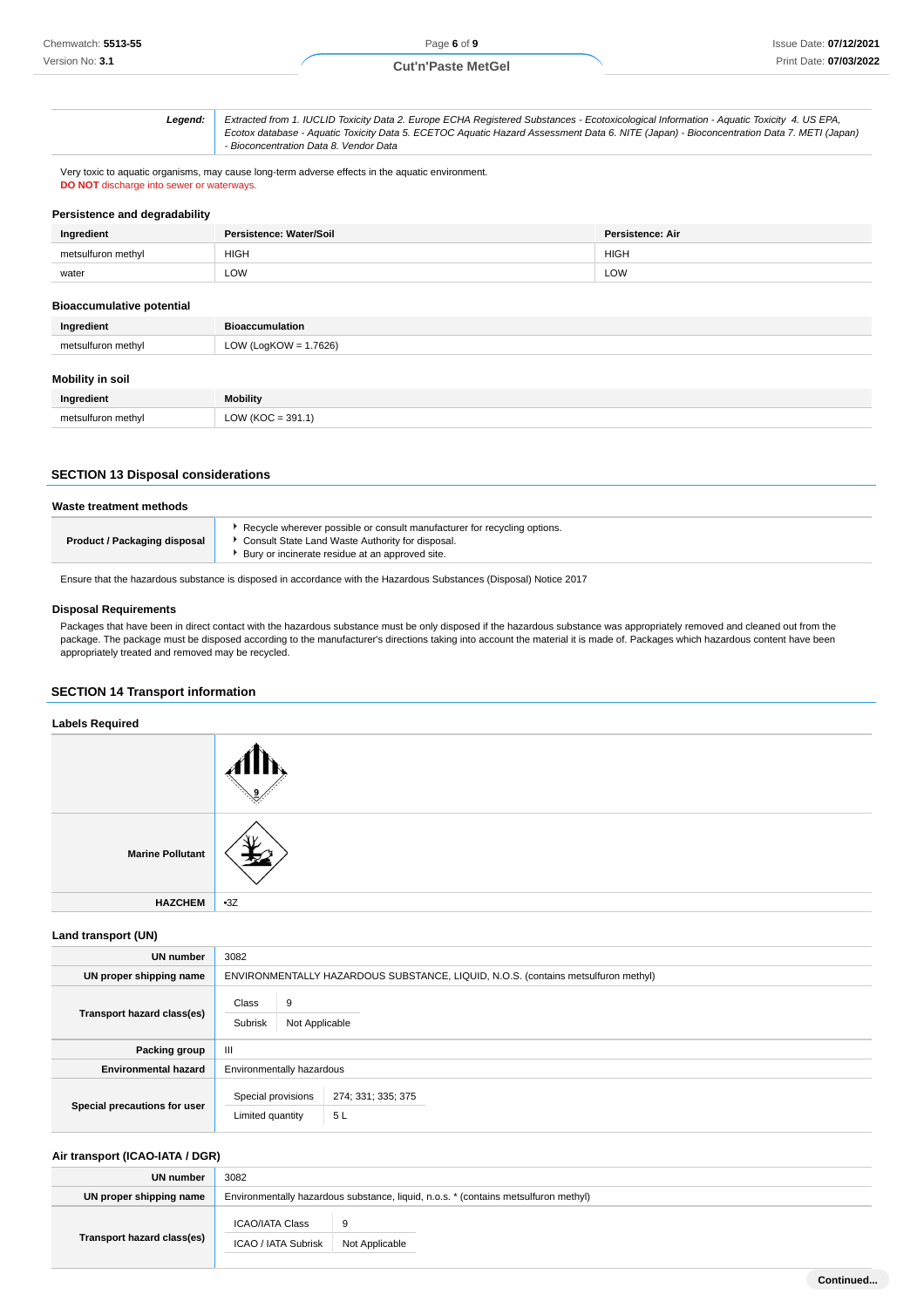**Legend:** Extracted from 1. IUCLID Toxicity Data 2. Europe ECHA Registered Substances - Ecotoxicological Information - Aquatic Toxicity 4. US EPA, Ecotox database - Aquatic Toxicity Data 5. ECETOC Aquatic Hazard Assessment Data 6. NITE (Japan) - Bioconcentration Data 7. METI (Japan) - Bioconcentration Data 8. Vendor Data

Very toxic to aquatic organisms, may cause long-term adverse effects in the aquatic environment. **DO NOT** discharge into sewer or waterways.

### **Persistence and degradability**

| Ingredient         | Persistence: Water/Soil | Persistence: Air |
|--------------------|-------------------------|------------------|
| metsulfuron methyl | <b>HIGH</b>             | <b>HIGH</b>      |
| water              | LOW<br>$-$              | LOW              |

### **Bioaccumulative potential**

| Ingredient         | <b>Bioaccumulation</b>   |
|--------------------|--------------------------|
| metsulfuron methyl | LOW (LogKOW = $1.7626$ ) |

#### **Mobility in soil**

| Ingredient         | <b>Mobility</b>              |
|--------------------|------------------------------|
| metsulfuron methyl | LOW (KOC = $391.1$ )<br>____ |

### **SECTION 13 Disposal considerations**

### **Waste treatment methods**

| Bury or incinerate residue at an approved site. |
|-------------------------------------------------|
|-------------------------------------------------|

Ensure that the hazardous substance is disposed in accordance with the Hazardous Substances (Disposal) Notice 2017

#### **Disposal Requirements**

Packages that have been in direct contact with the hazardous substance must be only disposed if the hazardous substance was appropriately removed and cleaned out from the package. The package must be disposed according to the manufacturer's directions taking into account the material it is made of. Packages which hazardous content have been appropriately treated and removed may be recycled.

### **SECTION 14 Transport information**

| <b>Labels Required</b>  |       |
|-------------------------|-------|
|                         |       |
| <b>Marine Pollutant</b> |       |
| <b>HAZCHEM</b>          | $-3Z$ |

**Land transport (UN)**

| <b>UN number</b>             | 3082                                                                              |  |  |
|------------------------------|-----------------------------------------------------------------------------------|--|--|
| UN proper shipping name      | ENVIRONMENTALLY HAZARDOUS SUBSTANCE, LIQUID, N.O.S. (contains metsulfuron methyl) |  |  |
| Transport hazard class(es)   | Class<br>9<br>Subrisk<br>Not Applicable                                           |  |  |
| Packing group                | Ш                                                                                 |  |  |
| <b>Environmental hazard</b>  | Environmentally hazardous                                                         |  |  |
| Special precautions for user | Special provisions<br>274; 331; 335; 375<br>5L<br>Limited quantity                |  |  |

### **Air transport (ICAO-IATA / DGR)**

| UN number                  | 3082                                                                                |                |  |
|----------------------------|-------------------------------------------------------------------------------------|----------------|--|
| UN proper shipping name    | Environmentally hazardous substance, liquid, n.o.s. * (contains metsulfuron methyl) |                |  |
|                            | ICAO/IATA Class                                                                     | 9              |  |
| Transport hazard class(es) | ICAO / IATA Subrisk                                                                 | Not Applicable |  |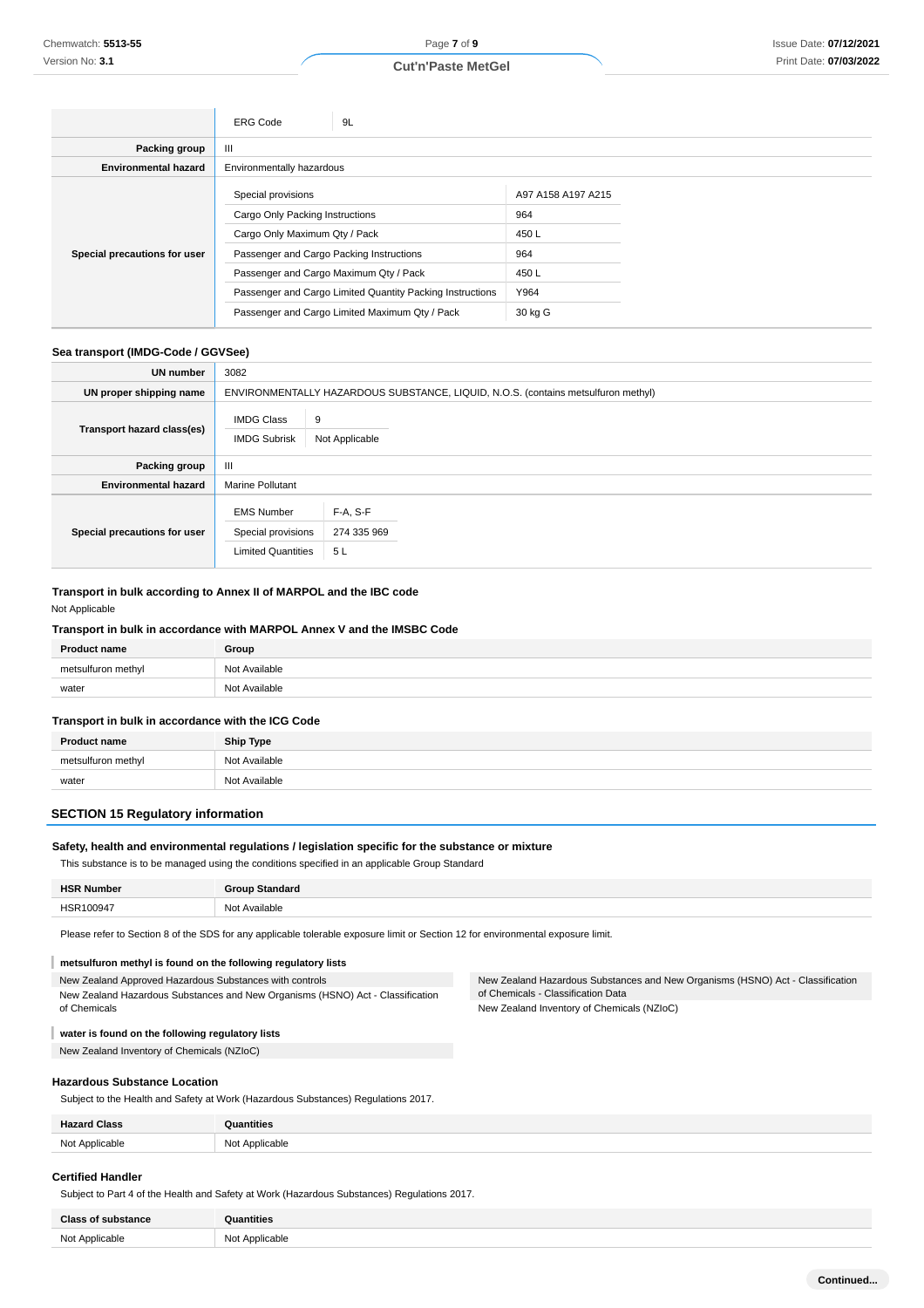### Issue Date: **07/12/2021** Print Date: **07/03/2022**

|                              | <b>ERG Code</b>                                           | 9L |                    |  |
|------------------------------|-----------------------------------------------------------|----|--------------------|--|
| Packing group                | Ш                                                         |    |                    |  |
| <b>Environmental hazard</b>  | Environmentally hazardous                                 |    |                    |  |
|                              | Special provisions                                        |    | A97 A158 A197 A215 |  |
|                              | Cargo Only Packing Instructions                           |    | 964                |  |
|                              | Cargo Only Maximum Qty / Pack                             |    | 450L               |  |
| Special precautions for user | Passenger and Cargo Packing Instructions                  |    | 964                |  |
|                              | Passenger and Cargo Maximum Qty / Pack                    |    | 450 L              |  |
|                              | Passenger and Cargo Limited Quantity Packing Instructions |    | Y964               |  |
|                              | Passenger and Cargo Limited Maximum Qty / Pack            |    | 30 kg G            |  |

### **Sea transport (IMDG-Code / GGVSee)**

| UN number                    | 3082                                                                 |                                                                                   |  |  |
|------------------------------|----------------------------------------------------------------------|-----------------------------------------------------------------------------------|--|--|
| UN proper shipping name      |                                                                      | ENVIRONMENTALLY HAZARDOUS SUBSTANCE, LIQUID, N.O.S. (contains metsulfuron methyl) |  |  |
| Transport hazard class(es)   | <b>IMDG Class</b><br><b>IMDG Subrisk</b>                             | 9<br>Not Applicable                                                               |  |  |
| Packing group                | Ш                                                                    |                                                                                   |  |  |
| <b>Environmental hazard</b>  | <b>Marine Pollutant</b>                                              |                                                                                   |  |  |
| Special precautions for user | <b>EMS Number</b><br>Special provisions<br><b>Limited Quantities</b> | F-A, S-F<br>274 335 969<br>5L                                                     |  |  |

## **Transport in bulk according to Annex II of MARPOL and the IBC code**

### Not Applicable

### **Transport in bulk in accordance with MARPOL Annex V and the IMSBC Code**

| <b>Product name</b>    | Group         |
|------------------------|---------------|
| metsulf<br>uron methvl | Not Available |
| water                  | Not Available |

#### **Transport in bulk in accordance with the ICG Code**

| <b>Product name</b> | <b>Ship Type</b> |
|---------------------|------------------|
| metsulfuron methyl  | Not Available    |
| water               | Not Available    |

### **SECTION 15 Regulatory information**

### **Safety, health and environmental regulations / legislation specific for the substance or mixture**

This substance is to be managed using the conditions specified in an applicable Group Standard

| Number<br><b>HSF</b> | <b>Group Standard</b> |
|----------------------|-----------------------|
| HSR100947            | Not Available         |

Please refer to Section 8 of the SDS for any applicable tolerable exposure limit or Section 12 for environmental exposure limit.

#### I **metsulfuron methyl is found on the following regulatory lists**

New Zealand Approved Hazardous Substances with controls New Zealand Hazardous Substances and New Organisms (HSNO) Act - Classification of Chemicals

New Zealand Hazardous Substances and New Organisms (HSNO) Act - Classification of Chemicals - Classification Data New Zealand Inventory of Chemicals (NZIoC)

#### I **water is found on the following regulatory lists**

New Zealand Inventory of Chemicals (NZIoC)

### **Hazardous Substance Location**

Subject to the Health and Safety at Work (Hazardous Substances) Regulations 2017.

| <b>Hazard Class</b> | <b>Juantities</b>     |
|---------------------|-----------------------|
| Not Applicable      | Not Applicable<br>IVU |

#### **Certified Handler**

Subject to Part 4 of the Health and Safety at Work (Hazardous Substances) Regulations 2017.

| Class of<br><b>f</b> substance | <b>Quantities</b> |
|--------------------------------|-------------------|
| Not Annlicahle                 | N∩t<br>Annlicable |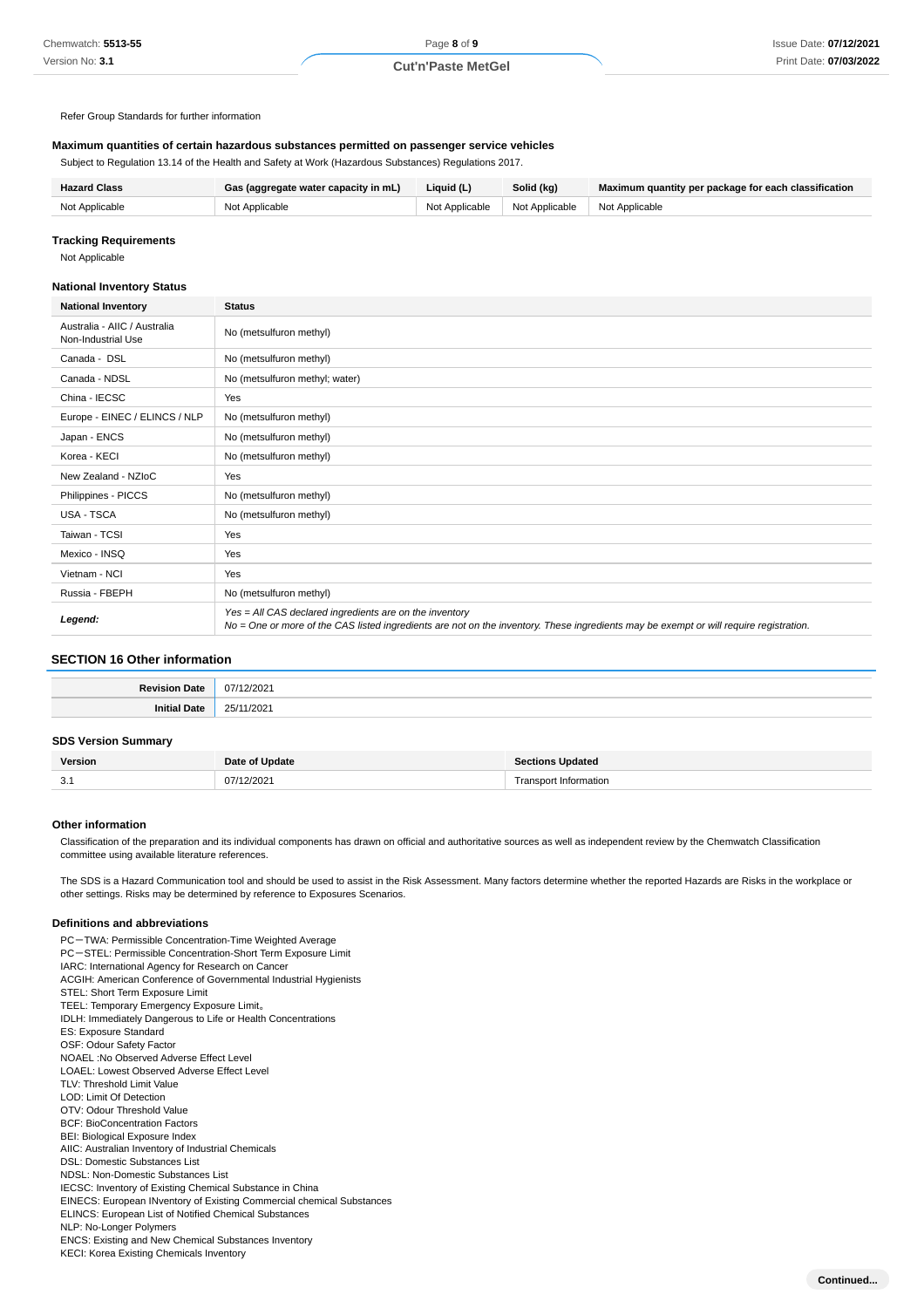Refer Group Standards for further information

#### **Maximum quantities of certain hazardous substances permitted on passenger service vehicles**

Subject to Regulation 13.14 of the Health and Safety at Work (Hazardous Substances) Regulations 2017.

| <b>Hazard Class</b> | Gas (aggregate water capacity in mL) | Liquid (L)     | Solid (kg)                      | Maximum quantity per package for each classification |
|---------------------|--------------------------------------|----------------|---------------------------------|------------------------------------------------------|
| Not Applicable      | Not Applicable                       | Not Applicable | Not Applicable   Not Applicable |                                                      |

#### **Tracking Requirements**

Not Applicable

#### **National Inventory Status**

| <b>National Inventory</b>                          | <b>Status</b>                                                                                                                                                                                     |
|----------------------------------------------------|---------------------------------------------------------------------------------------------------------------------------------------------------------------------------------------------------|
| Australia - AIIC / Australia<br>Non-Industrial Use | No (metsulfuron methyl)                                                                                                                                                                           |
| Canada - DSL                                       | No (metsulfuron methyl)                                                                                                                                                                           |
| Canada - NDSL                                      | No (metsulfuron methyl; water)                                                                                                                                                                    |
| China - IECSC                                      | Yes                                                                                                                                                                                               |
| Europe - EINEC / ELINCS / NLP                      | No (metsulfuron methyl)                                                                                                                                                                           |
| Japan - ENCS                                       | No (metsulfuron methyl)                                                                                                                                                                           |
| Korea - KECI                                       | No (metsulfuron methyl)                                                                                                                                                                           |
| New Zealand - NZIoC                                | Yes                                                                                                                                                                                               |
| Philippines - PICCS                                | No (metsulfuron methyl)                                                                                                                                                                           |
| <b>USA - TSCA</b>                                  | No (metsulfuron methyl)                                                                                                                                                                           |
| Taiwan - TCSI                                      | Yes                                                                                                                                                                                               |
| Mexico - INSQ                                      | Yes                                                                                                                                                                                               |
| Vietnam - NCI                                      | Yes                                                                                                                                                                                               |
| Russia - FBEPH                                     | No (metsulfuron methyl)                                                                                                                                                                           |
| Legend:                                            | Yes = All CAS declared ingredients are on the inventory<br>No = One or more of the CAS listed ingredients are not on the inventory. These ingredients may be exempt or will require registration. |

### **SECTION 16 Other information**

| the contract of the contract of the contract of the contract of the contract of the contract of the contract of | .       |
|-----------------------------------------------------------------------------------------------------------------|---------|
|                                                                                                                 | n<br>uΖ |

### **SDS Version Summary**

| Version        | Dat⁄<br>Update | <b>Jodated</b><br>:tions     |
|----------------|----------------|------------------------------|
| $\sim$<br>◡. ៲ | 2/2021<br>07/  | ormation<br><b>POV</b><br>ıa |

#### **Other information**

Classification of the preparation and its individual components has drawn on official and authoritative sources as well as independent review by the Chemwatch Classification committee using available literature references.

The SDS is a Hazard Communication tool and should be used to assist in the Risk Assessment. Many factors determine whether the reported Hazards are Risks in the workplace or other settings. Risks may be determined by reference to Exposures Scenarios.

#### **Definitions and abbreviations**

PC-TWA: Permissible Concentration-Time Weighted Average PC-STEL: Permissible Concentration-Short Term Exposure Limit IARC: International Agency for Research on Cancer ACGIH: American Conference of Governmental Industrial Hygienists STEL: Short Term Exposure Limit TEEL: Temporary Emergency Exposure Limit。 IDLH: Immediately Dangerous to Life or Health Concentrations ES: Exposure Standard OSF: Odour Safety Factor NOAEL :No Observed Adverse Effect Level LOAEL: Lowest Observed Adverse Effect Level TLV: Threshold Limit Value LOD: Limit Of Detection OTV: Odour Threshold Value BCF: BioConcentration Factors BEI: Biological Exposure Index AIIC: Australian Inventory of Industrial Chemicals DSL: Domestic Substances List NDSL: Non-Domestic Substances List IECSC: Inventory of Existing Chemical Substance in China EINECS: European INventory of Existing Commercial chemical Substances ELINCS: European List of Notified Chemical Substances NLP: No-Longer Polymers ENCS: Existing and New Chemical Substances Inventory KECI: Korea Existing Chemicals Inventory